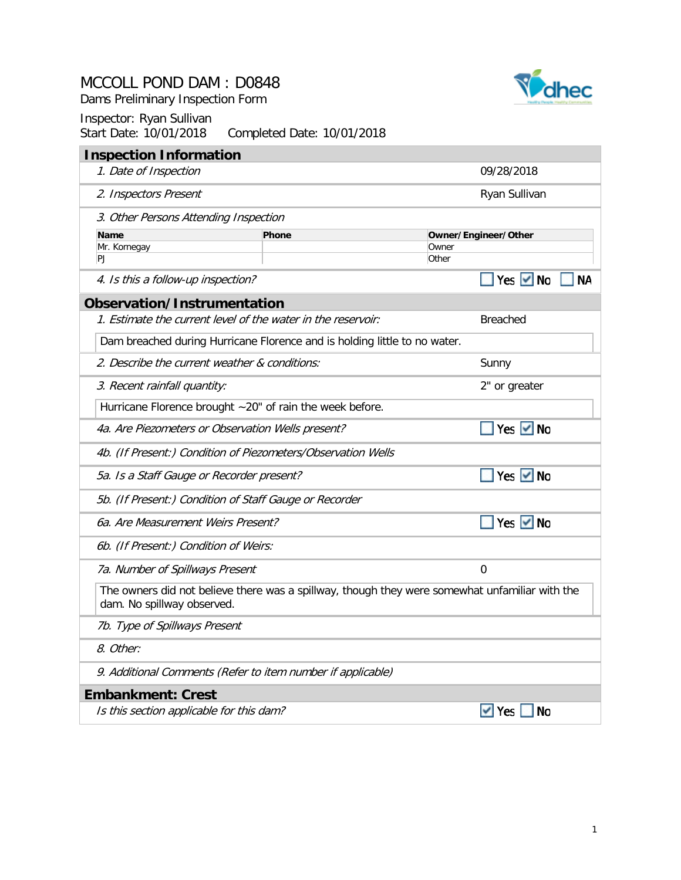



| <b>Inspection Information</b>                                                                                                |              |                           |
|------------------------------------------------------------------------------------------------------------------------------|--------------|---------------------------|
| 1. Date of Inspection                                                                                                        |              | 09/28/2018                |
| 2. Inspectors Present                                                                                                        |              | Ryan Sullivan             |
| 3. Other Persons Attending Inspection                                                                                        |              |                           |
| Name                                                                                                                         | <b>Phone</b> | Owner/Engineer/Other      |
| Mr. Kornegay<br>PJ                                                                                                           |              | Owner<br>Other            |
| 4. Is this a follow-up inspection?                                                                                           |              | Yes <del>V</del> No<br>NΑ |
| Observation/Instrumentation                                                                                                  |              |                           |
| 1. Estimate the current level of the water in the reservoir:                                                                 |              | <b>Breached</b>           |
| Dam breached during Hurricane Florence and is holding little to no water.                                                    |              |                           |
| 2. Describe the current weather & conditions:                                                                                |              | Sunny                     |
| 3. Recent rainfall quantity:                                                                                                 |              | 2" or greater             |
| Hurricane Florence brought ~20" of rain the week before.                                                                     |              |                           |
| 4a. Are Piezometers or Observation Wells present?                                                                            |              | Yes <del>V</del> No       |
| 4b. (If Present:) Condition of Piezometers/Observation Wells                                                                 |              |                           |
| 5a. Is a Staff Gauge or Recorder present?                                                                                    |              | Yes $\vee$ No             |
| 5b. (If Present:) Condition of Staff Gauge or Recorder                                                                       |              |                           |
| 6a. Are Measurement Weirs Present?                                                                                           |              | Yes $\vee$ No             |
| 6b. (If Present:) Condition of Weirs:                                                                                        |              |                           |
| 7a. Number of Spillways Present                                                                                              |              | $\Omega$                  |
| The owners did not believe there was a spillway, though they were somewhat unfamiliar with the<br>dam. No spillway observed. |              |                           |
| 7b. Type of Spillways Present                                                                                                |              |                           |
| 8. Other:                                                                                                                    |              |                           |
| 9. Additional Comments (Refer to item number if applicable)                                                                  |              |                           |
| <b>Embankment: Crest</b>                                                                                                     |              |                           |
| Is this section applicable for this dam?                                                                                     |              | $\vee$ Yes<br><b>No</b>   |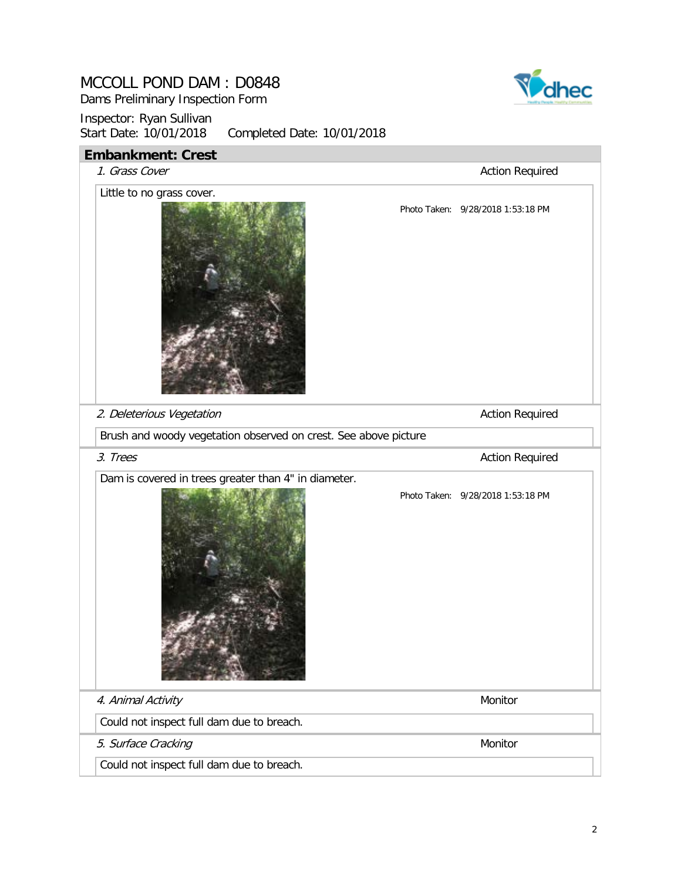Dams Preliminary Inspection Form



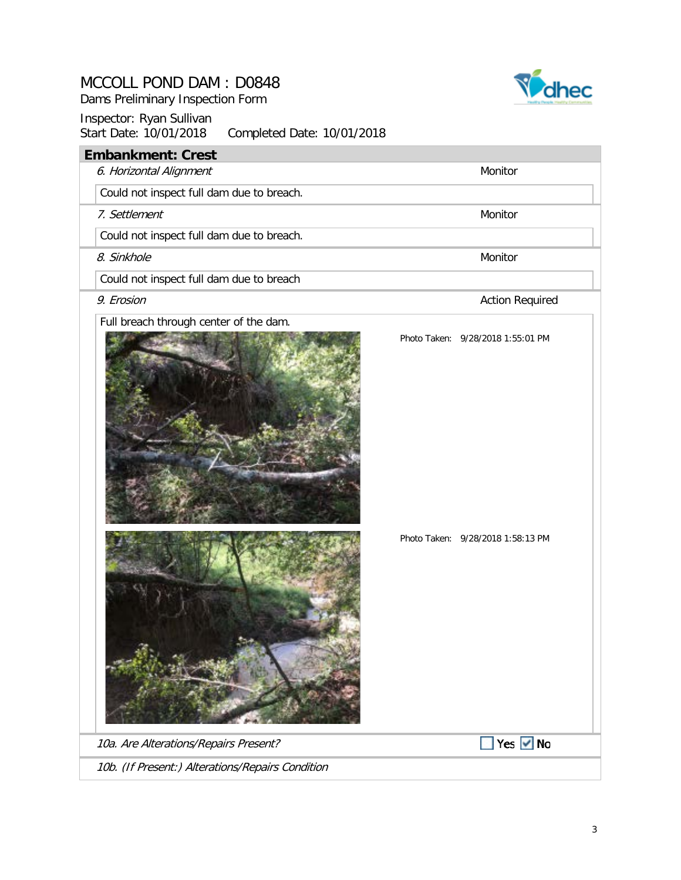Dams Preliminary Inspection Form



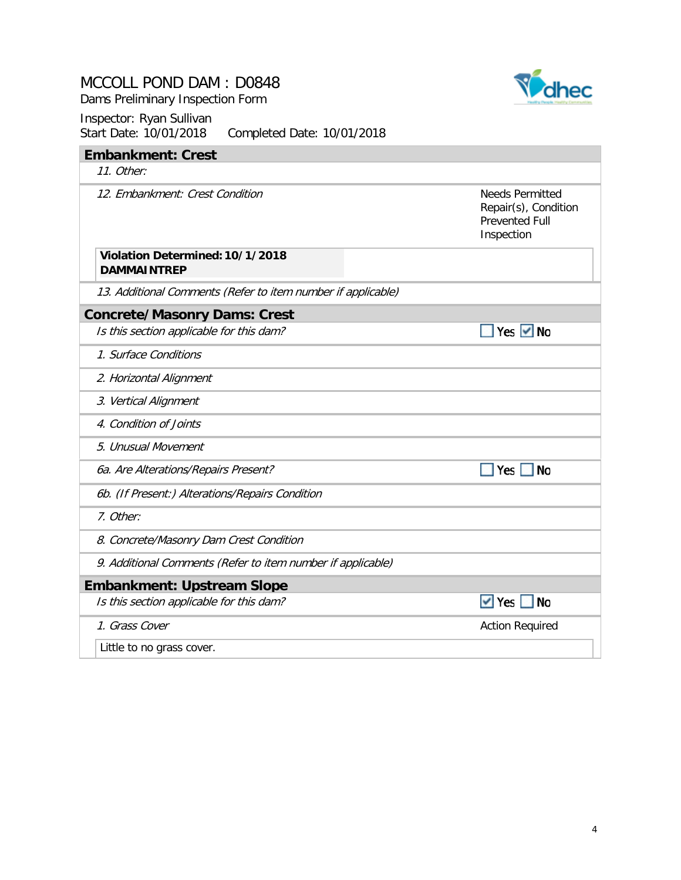Dams Preliminary Inspection Form



| Sidit Dalt. TU/UT/ZUTO<br>COMPLETED DATE: TU/UT/ZUTO         |                                                                                       |
|--------------------------------------------------------------|---------------------------------------------------------------------------------------|
| <b>Embankment: Crest</b>                                     |                                                                                       |
| 11. Other:                                                   |                                                                                       |
| 12. Embankment: Crest Condition                              | <b>Needs Permitted</b><br>Repair(s), Condition<br><b>Prevented Full</b><br>Inspection |
| Violation Determined: 10/1/2018<br><b>DAMMAINTREP</b>        |                                                                                       |
| 13. Additional Comments (Refer to item number if applicable) |                                                                                       |
| <b>Concrete/Masonry Dams: Crest</b>                          |                                                                                       |
| Is this section applicable for this dam?                     | $Yes$ $\vee$ No                                                                       |
| 1. Surface Conditions                                        |                                                                                       |
| 2. Horizontal Alignment                                      |                                                                                       |
| 3. Vertical Alignment                                        |                                                                                       |
| 4. Condition of Joints                                       |                                                                                       |
| 5. Unusual Movement                                          |                                                                                       |
| 6a. Are Alterations/Repairs Present?                         | Yes<br><b>No</b>                                                                      |
| 6b. (If Present:) Alterations/Repairs Condition              |                                                                                       |
| 7. Other:                                                    |                                                                                       |
| 8. Concrete/Masonry Dam Crest Condition                      |                                                                                       |
| 9. Additional Comments (Refer to item number if applicable)  |                                                                                       |
| <b>Embankment: Upstream Slope</b>                            |                                                                                       |
| Is this section applicable for this dam?                     | $\vee$ Yes<br><b>No</b>                                                               |
| 1. Grass Cover                                               | <b>Action Required</b>                                                                |
| Little to no grass cover.                                    |                                                                                       |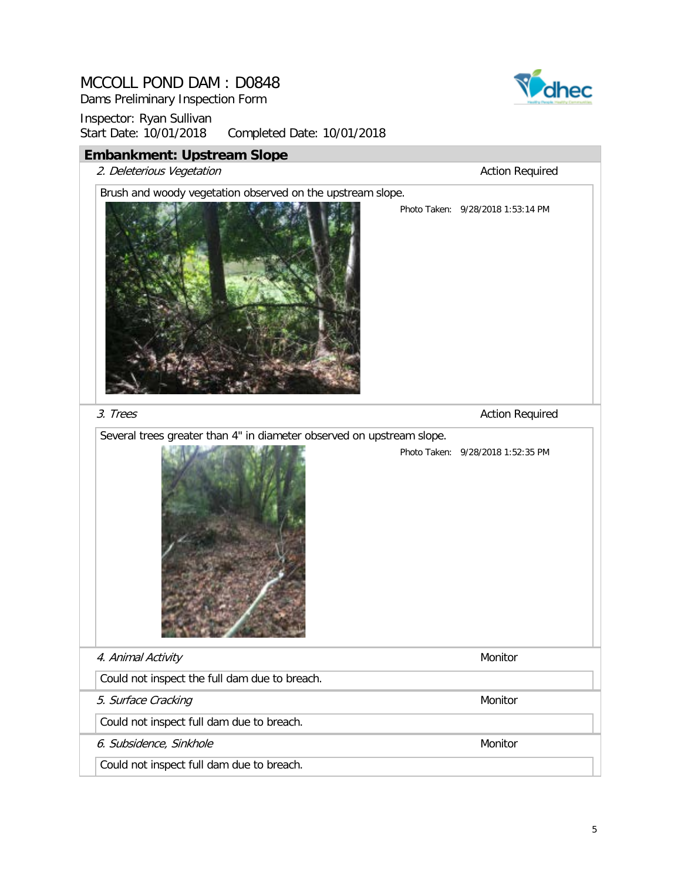Dams Preliminary Inspection Form



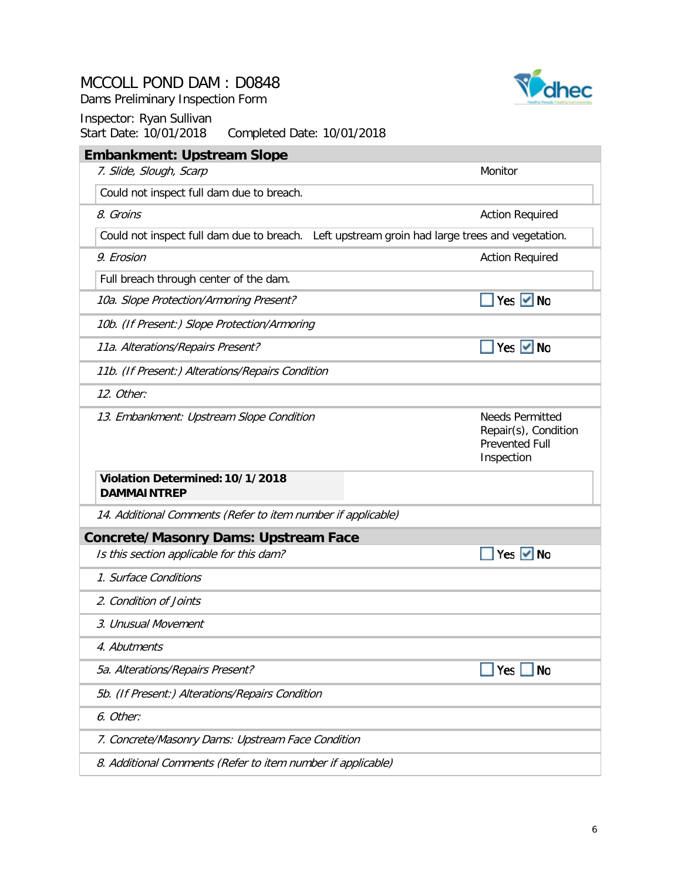Dams Preliminary Inspection Form



| <b>Embankment: Upstream Slope</b>                                                             |                                                                                       |
|-----------------------------------------------------------------------------------------------|---------------------------------------------------------------------------------------|
| 7. Slide, Slough, Scarp                                                                       | Monitor                                                                               |
| Could not inspect full dam due to breach.                                                     |                                                                                       |
| 8. Groins                                                                                     | <b>Action Required</b>                                                                |
| Could not inspect full dam due to breach. Left upstream groin had large trees and vegetation. |                                                                                       |
| 9. Erosion                                                                                    | <b>Action Required</b>                                                                |
| Full breach through center of the dam.                                                        |                                                                                       |
| 10a. Slope Protection/Armoring Present?                                                       | Yes $\vee$ No                                                                         |
| 10b. (If Present:) Slope Protection/Armoring                                                  |                                                                                       |
| 11a. Alterations/Repairs Present?                                                             | Yes $\vee$ No                                                                         |
| 11b. (If Present:) Alterations/Repairs Condition                                              |                                                                                       |
| 12. Other:                                                                                    |                                                                                       |
| 13. Embankment: Upstream Slope Condition                                                      | <b>Needs Permitted</b><br>Repair(s), Condition<br><b>Prevented Full</b><br>Inspection |
| Violation Determined: 10/1/2018<br><b>DAMMAINTREP</b>                                         |                                                                                       |
| 14. Additional Comments (Refer to item number if applicable)                                  |                                                                                       |
| <b>Concrete/Masonry Dams: Upstream Face</b>                                                   |                                                                                       |
| Is this section applicable for this dam?                                                      | Yes $\vee$ No                                                                         |
| 1. Surface Conditions                                                                         |                                                                                       |
| 2. Condition of Joints                                                                        |                                                                                       |
| 3. Unusual Movement                                                                           |                                                                                       |
| 4. Abutments                                                                                  |                                                                                       |
| 5a. Alterations/Repairs Present?                                                              | <b>No</b><br>Yes                                                                      |
| 5b. (If Present:) Alterations/Repairs Condition                                               |                                                                                       |
| 6. Other:                                                                                     |                                                                                       |
| 7. Concrete/Masonry Dams: Upstream Face Condition                                             |                                                                                       |
| 8. Additional Comments (Refer to item number if applicable)                                   |                                                                                       |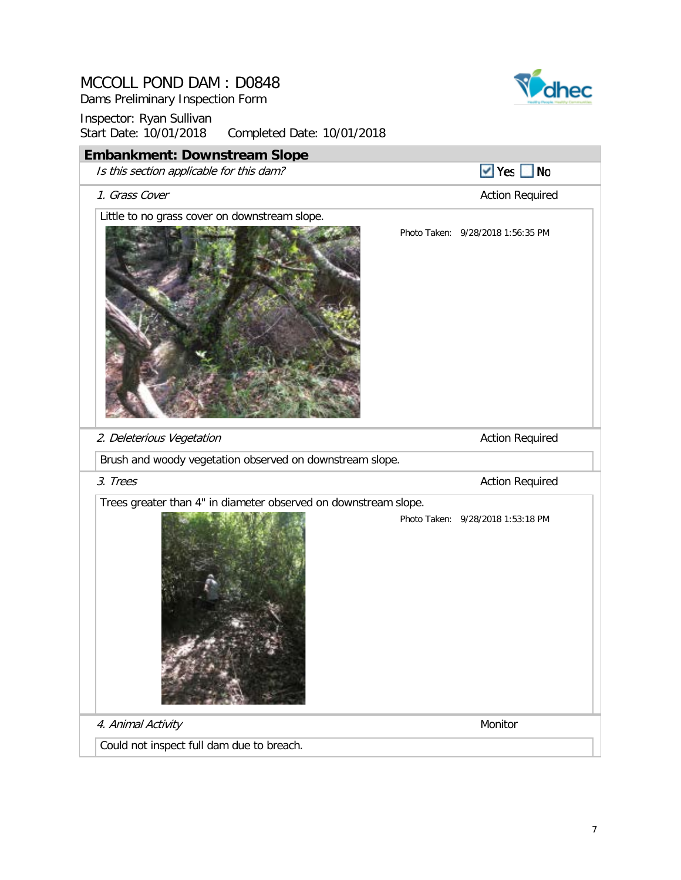Dams Preliminary Inspection Form



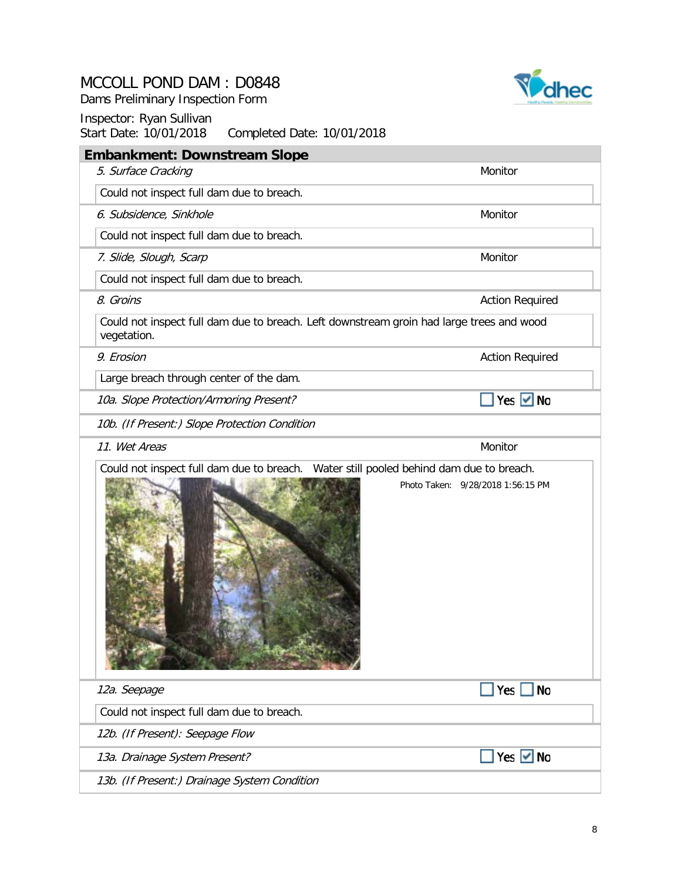Dams Preliminary Inspection Form



| <b>Embankment: Downstream Slope</b>                                                                     |                                   |
|---------------------------------------------------------------------------------------------------------|-----------------------------------|
| 5. Surface Cracking                                                                                     | Monitor                           |
| Could not inspect full dam due to breach.                                                               |                                   |
| 6. Subsidence, Sinkhole                                                                                 | Monitor                           |
| Could not inspect full dam due to breach.                                                               |                                   |
| 7. Slide, Slough, Scarp                                                                                 | Monitor                           |
| Could not inspect full dam due to breach.                                                               |                                   |
| 8. Groins                                                                                               | <b>Action Required</b>            |
| Could not inspect full dam due to breach. Left downstream groin had large trees and wood<br>vegetation. |                                   |
| 9. Erosion                                                                                              | <b>Action Required</b>            |
| Large breach through center of the dam.                                                                 |                                   |
| 10a. Slope Protection/Armoring Present?                                                                 | Yes $\vee$ No                     |
| 10b. (If Present:) Slope Protection Condition                                                           |                                   |
| 11. Wet Areas                                                                                           | Monitor                           |
|                                                                                                         | Photo Taken: 9/28/2018 1:56:15 PM |
| 12a. Seepage                                                                                            | $Yes \tN$                         |
| Could not inspect full dam due to breach.                                                               |                                   |
| 12b. (If Present): Seepage Flow                                                                         |                                   |
| 13a. Drainage System Present?                                                                           | Yes $\vee$ No                     |
| 13b. (If Present:) Drainage System Condition                                                            |                                   |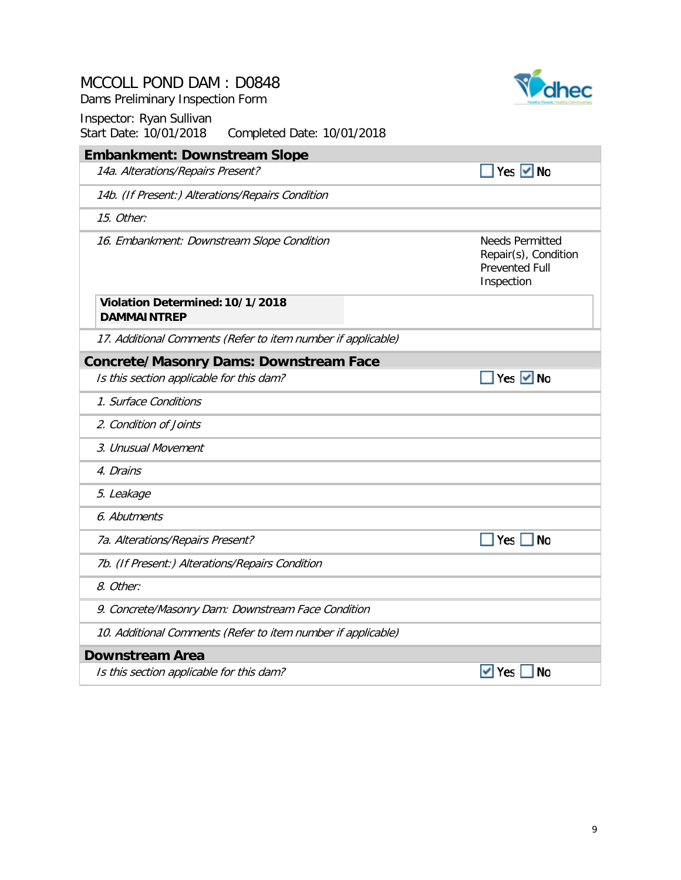| MCCOLL POND DAM: D0848 |  |  |  |  |  |
|------------------------|--|--|--|--|--|
|------------------------|--|--|--|--|--|

Dams Preliminary Inspection Form



| <b>Embankment: Downstream Slope</b>                          |                                                                                       |
|--------------------------------------------------------------|---------------------------------------------------------------------------------------|
| 14a. Alterations/Repairs Present?                            | Yes ✔ No                                                                              |
| 14b. (If Present:) Alterations/Repairs Condition             |                                                                                       |
| 15. Other:                                                   |                                                                                       |
| 16. Embankment: Downstream Slope Condition                   | <b>Needs Permitted</b><br>Repair(s), Condition<br><b>Prevented Full</b><br>Inspection |
| Violation Determined: 10/1/2018<br><b>DAMMAINTREP</b>        |                                                                                       |
| 17. Additional Comments (Refer to item number if applicable) |                                                                                       |
| <b>Concrete/Masonry Dams: Downstream Face</b>                |                                                                                       |
| Is this section applicable for this dam?                     | Yes $\vee$ No                                                                         |
| 1. Surface Conditions                                        |                                                                                       |
| 2. Condition of Joints                                       |                                                                                       |
| 3. Unusual Movement                                          |                                                                                       |
| 4. Drains                                                    |                                                                                       |
| 5. Leakage                                                   |                                                                                       |
| 6. Abutments                                                 |                                                                                       |
| 7a. Alterations/Repairs Present?                             | $\blacksquare$ Yes $\blacksquare$ No                                                  |
| 7b. (If Present:) Alterations/Repairs Condition              |                                                                                       |
| 8. Other:                                                    |                                                                                       |
| 9. Concrete/Masonry Dam: Downstream Face Condition           |                                                                                       |
| 10. Additional Comments (Refer to item number if applicable) |                                                                                       |
| <b>Downstream Area</b>                                       |                                                                                       |
| Is this section applicable for this dam?                     | $\vee$ Yes<br><b>No</b>                                                               |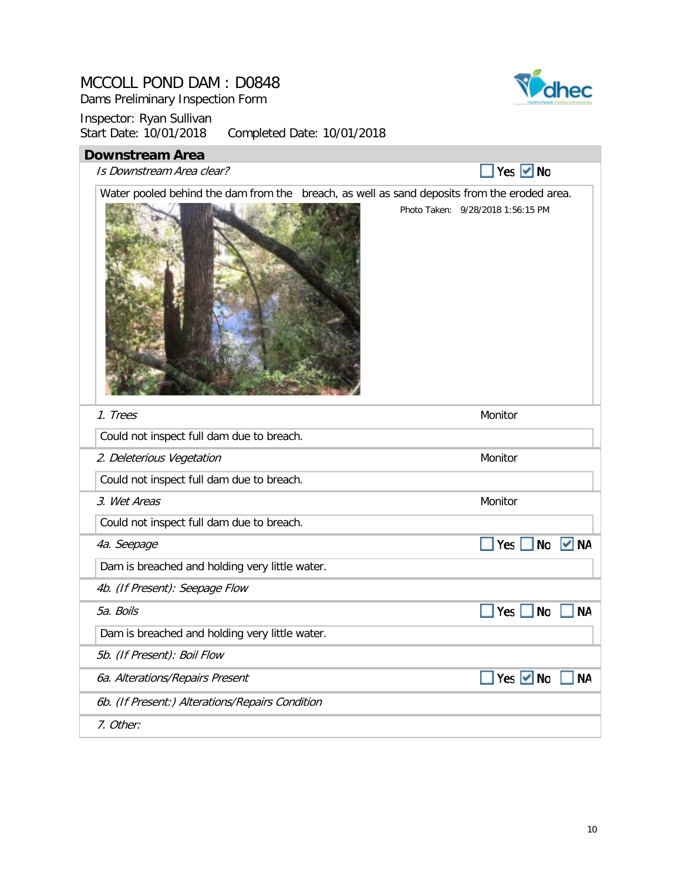Dams Preliminary Inspection Form

Inspector: Ryan Sullivan<br>Start Date: 10/01/2018 Completed Date: 10/01/2018

# **Downstream Area**  $\blacksquare$  Yes  $\blacksquare$  No Is Downstream Area clear? Water pooled behind the dam from the breach, as well as sand deposits from the eroded area. Photo Taken: 9/28/2018 1:56:15 PM 1. Trees Monitor Communication of the Communication of the Monitor Communication of the Monitor Communication Could not inspect full dam due to breach. 2. Deleterious Vegetation and a state of the matter of the Monitor Could not inspect full dam due to breach. 3. Wet Areas Monitor Communication of the Monitor Communication of the Monitor Communication of the Monitor Communication of the Monitor Communication of the Monitor Communication of the Monitor Communication of the Monito Could not inspect full dam due to breach. Yes No V NA 4a. Seepage Dam is breached and holding very little water. 4b. (If Present): Seepage Flow Yes No NA 5a. Boils Dam is breached and holding very little water. 5b. (If Present): Boil Flow Yes Mo MA 6a. Alterations/Repairs Present 6b. (If Present:) Alterations/Repairs Condition 7. Other:

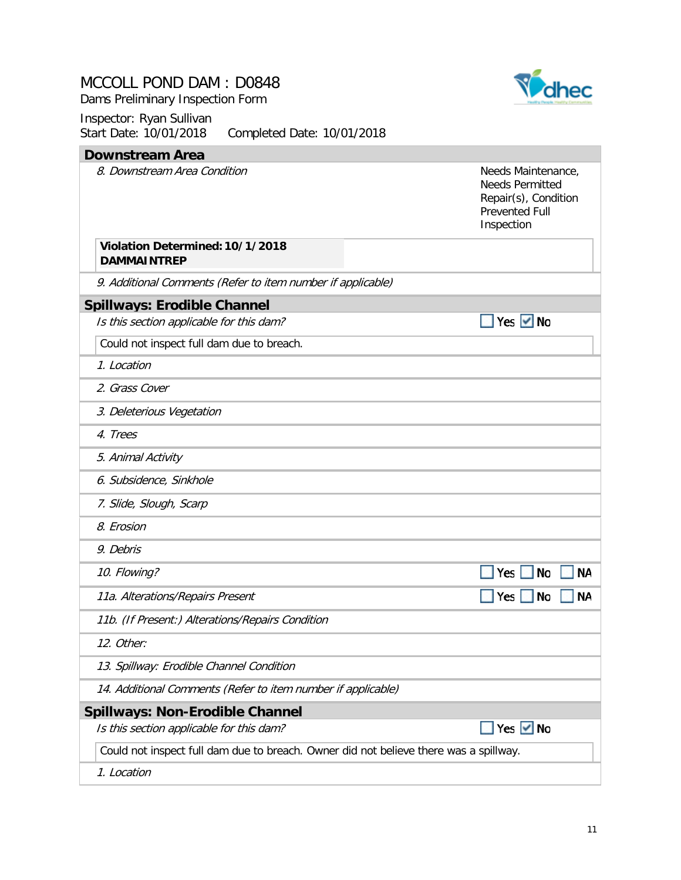Dams Preliminary Inspection Form



| <b>Downstream Area</b>                                                                |                                                                                                             |
|---------------------------------------------------------------------------------------|-------------------------------------------------------------------------------------------------------------|
| 8. Downstream Area Condition                                                          | Needs Maintenance,<br><b>Needs Permitted</b><br>Repair(s), Condition<br><b>Prevented Full</b><br>Inspection |
| Violation Determined: 10/1/2018<br><b>DAMMAINTREP</b>                                 |                                                                                                             |
| 9. Additional Comments (Refer to item number if applicable)                           |                                                                                                             |
| <b>Spillways: Erodible Channel</b>                                                    |                                                                                                             |
| Is this section applicable for this dam?                                              | Yes $\vee$ No                                                                                               |
| Could not inspect full dam due to breach.                                             |                                                                                                             |
| 1. Location                                                                           |                                                                                                             |
| 2. Grass Cover                                                                        |                                                                                                             |
| 3. Deleterious Vegetation                                                             |                                                                                                             |
| 4. Trees                                                                              |                                                                                                             |
| 5. Animal Activity                                                                    |                                                                                                             |
| 6. Subsidence, Sinkhole                                                               |                                                                                                             |
| 7. Slide, Slough, Scarp                                                               |                                                                                                             |
| 8. Erosion                                                                            |                                                                                                             |
| 9. Debris                                                                             |                                                                                                             |
| 10. Flowing?                                                                          | <b>No</b><br><b>NA</b><br>Yes                                                                               |
| 11a. Alterations/Repairs Present                                                      | <b>NA</b><br>Yes<br>No                                                                                      |
| 11b. (If Present:) Alterations/Repairs Condition                                      |                                                                                                             |
| 12. Other:                                                                            |                                                                                                             |
| 13. Spillway: Erodible Channel Condition                                              |                                                                                                             |
| 14. Additional Comments (Refer to item number if applicable)                          |                                                                                                             |
| <b>Spillways: Non-Erodible Channel</b>                                                |                                                                                                             |
| Is this section applicable for this dam?                                              | Yes $\vee$ No                                                                                               |
| Could not inspect full dam due to breach. Owner did not believe there was a spillway. |                                                                                                             |
| 1. Location                                                                           |                                                                                                             |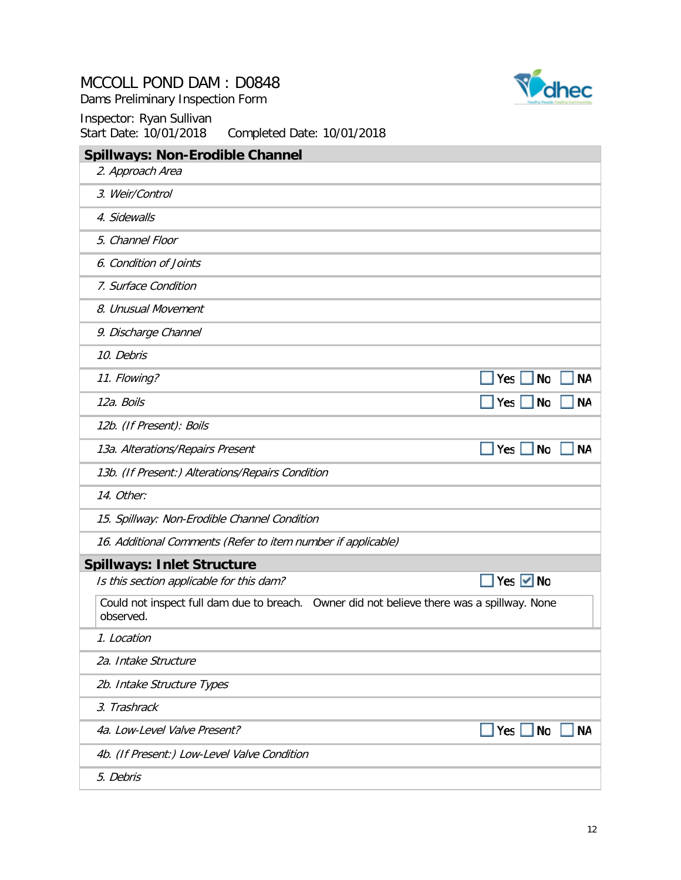Dams Preliminary Inspection Form





| $J(u)$ , $U(u)$ , $U(u)$ , $U(u)$<br>completed Date: 10/01/2010                                         |
|---------------------------------------------------------------------------------------------------------|
| <b>Spillways: Non-Erodible Channel</b>                                                                  |
| 2. Approach Area                                                                                        |
| 3. Weir/Control                                                                                         |
| 4. Sidewalls                                                                                            |
| 5. Channel Floor                                                                                        |
| 6. Condition of Joints                                                                                  |
| 7. Surface Condition                                                                                    |
| 8. Unusual Movement                                                                                     |
| 9. Discharge Channel                                                                                    |
| 10. Debris                                                                                              |
| Yes $\square$<br><b>No</b><br><b>NA</b><br>11. Flowing?                                                 |
| $\blacksquare$ Yes $\blacksquare$<br><b>No</b><br><b>NA</b><br>12a. Boils                               |
| 12b. (If Present): Boils                                                                                |
| $Yes$ No<br><b>NA</b><br>13a. Alterations/Repairs Present                                               |
| 13b. (If Present:) Alterations/Repairs Condition                                                        |
| 14. Other:                                                                                              |
| 15. Spillway: Non-Erodible Channel Condition                                                            |
| 16. Additional Comments (Refer to item number if applicable)                                            |
| <b>Spillways: Inlet Structure</b>                                                                       |
| Yes $\vee$ No<br>Is this section applicable for this dam?                                               |
| Could not inspect full dam due to breach. Owner did not believe there was a spillway. None<br>observed. |
| 1. Location                                                                                             |
| 2a. Intake Structure                                                                                    |
| 2b. Intake Structure Types                                                                              |
| 3. Trashrack                                                                                            |
| $Yes$ No<br><b>NA</b><br>4a. Low-Level Valve Present?                                                   |
| 4b. (If Present:) Low-Level Valve Condition                                                             |
| 5. Debris                                                                                               |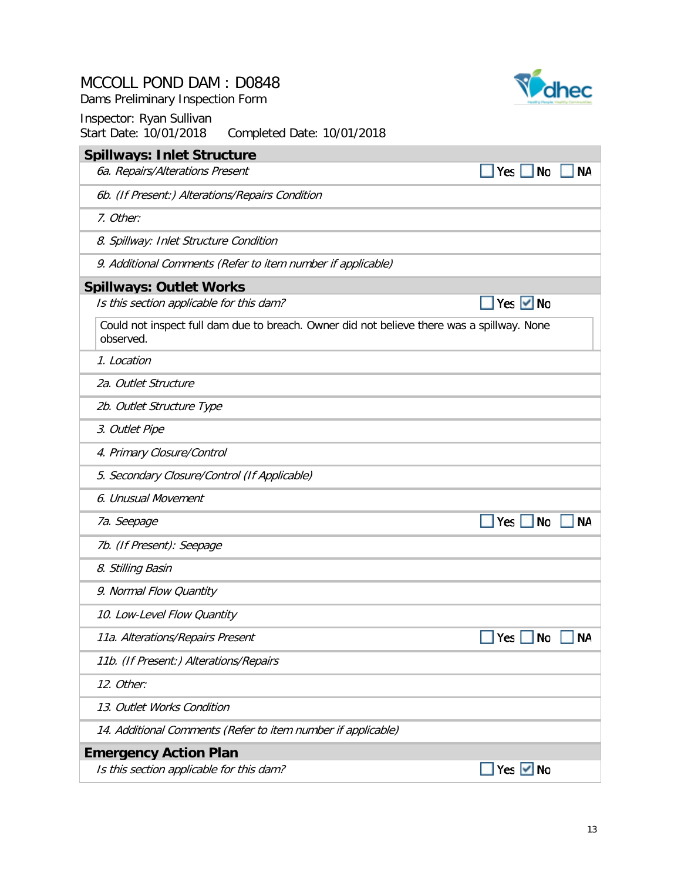Dams Preliminary Inspection Form

| <b>Spillways: Inlet Structure</b>                                                                       |                          |    |
|---------------------------------------------------------------------------------------------------------|--------------------------|----|
| 6a. Repairs/Alterations Present                                                                         | Yes $ $<br><b>No</b>     | NΑ |
| 6b. (If Present:) Alterations/Repairs Condition                                                         |                          |    |
| 7. Other:                                                                                               |                          |    |
| 8. Spillway: Inlet Structure Condition                                                                  |                          |    |
| 9. Additional Comments (Refer to item number if applicable)                                             |                          |    |
| <b>Spillways: Outlet Works</b>                                                                          |                          |    |
| Is this section applicable for this dam?                                                                | Yes $\vee$ No            |    |
| Could not inspect full dam due to breach. Owner did not believe there was a spillway. None<br>observed. |                          |    |
| 1. Location                                                                                             |                          |    |
| 2a. Outlet Structure                                                                                    |                          |    |
| 2b. Outlet Structure Type                                                                               |                          |    |
| 3. Outlet Pipe                                                                                          |                          |    |
| 4. Primary Closure/Control                                                                              |                          |    |
| 5. Secondary Closure/Control (If Applicable)                                                            |                          |    |
| 6. Unusual Movement                                                                                     |                          |    |
| 7a. Seepage                                                                                             | Yes $\vert$<br><b>No</b> | ΝA |
| 7b. (If Present): Seepage                                                                               |                          |    |
| 8. Stilling Basin                                                                                       |                          |    |
| 9. Normal Flow Quantity                                                                                 |                          |    |
| 10. Low-Level Flow Quantity                                                                             |                          |    |
| 11a. Alterations/Repairs Present                                                                        | Yes<br>No                | NA |
| 11b. (If Present:) Alterations/Repairs                                                                  |                          |    |
| 12. Other:                                                                                              |                          |    |
| 13. Outlet Works Condition                                                                              |                          |    |
| 14. Additional Comments (Refer to item number if applicable)                                            |                          |    |
| <b>Emergency Action Plan</b>                                                                            |                          |    |
| Is this section applicable for this dam?                                                                | Yes $\vee$ No            |    |

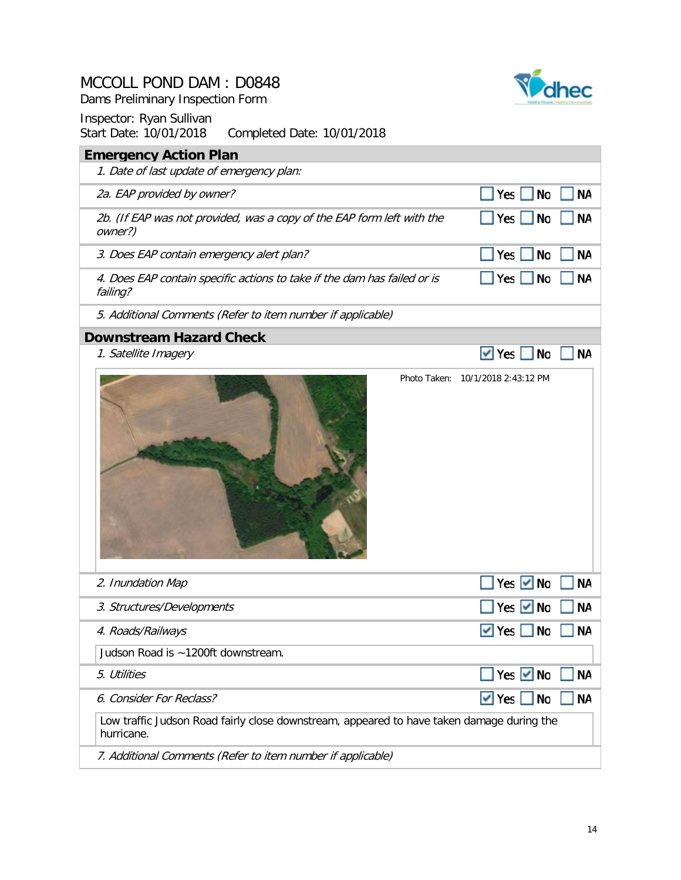Dams Preliminary Inspection Form



| $3$ iai i Dale. Tu/UT/ZUTO – Completed Dale. Tu/UT/ZUTO                                                 |                                                    |           |
|---------------------------------------------------------------------------------------------------------|----------------------------------------------------|-----------|
| <b>Emergency Action Plan</b>                                                                            |                                                    |           |
| 1. Date of last update of emergency plan:                                                               |                                                    |           |
| 2a. EAP provided by owner?                                                                              | Yes<br><b>No</b>                                   | <b>NA</b> |
| 2b. (If EAP was not provided, was a copy of the EAP form left with the<br>owner?)                       | Yes<br><b>No</b>                                   | <b>NA</b> |
| 3. Does EAP contain emergency alert plan?                                                               | Yes<br><b>No</b>                                   | <b>NA</b> |
| 4. Does EAP contain specific actions to take if the dam has failed or is<br>failing?                    | $\vert$ Yes $\vert$<br>$\overline{\phantom{a}}$ No | <b>NA</b> |
| 5. Additional Comments (Refer to item number if applicable)                                             |                                                    |           |
| <b>Downstream Hazard Check</b>                                                                          |                                                    |           |
| 1. Satellite Imagery                                                                                    | $\vee$ Yes<br>$\Box$ No                            | <b>NA</b> |
|                                                                                                         | Photo Taken: 10/1/2018 2:43:12 PM                  |           |
| 2. Inundation Map                                                                                       | Yes $\vee$ No                                      | <b>NA</b> |
| 3. Structures/Developments                                                                              | Yes $\vee$<br><b>No</b>                            | <b>NA</b> |
| 4. Roads/Railways                                                                                       | $\blacktriangledown$ Yes<br>$\Box$ No              | NA        |
| Judson Road is ~1200ft downstream.                                                                      |                                                    |           |
| 5. Utilities                                                                                            | Yes <u>V</u> No                                    | <b>NA</b> |
| 6. Consider For Reclass?                                                                                | $\vee$ Yes $\Box$ No                               | <b>NA</b> |
| Low traffic Judson Road fairly close downstream, appeared to have taken damage during the<br>hurricane. |                                                    |           |
| 7. Additional Comments (Refer to item number if applicable)                                             |                                                    |           |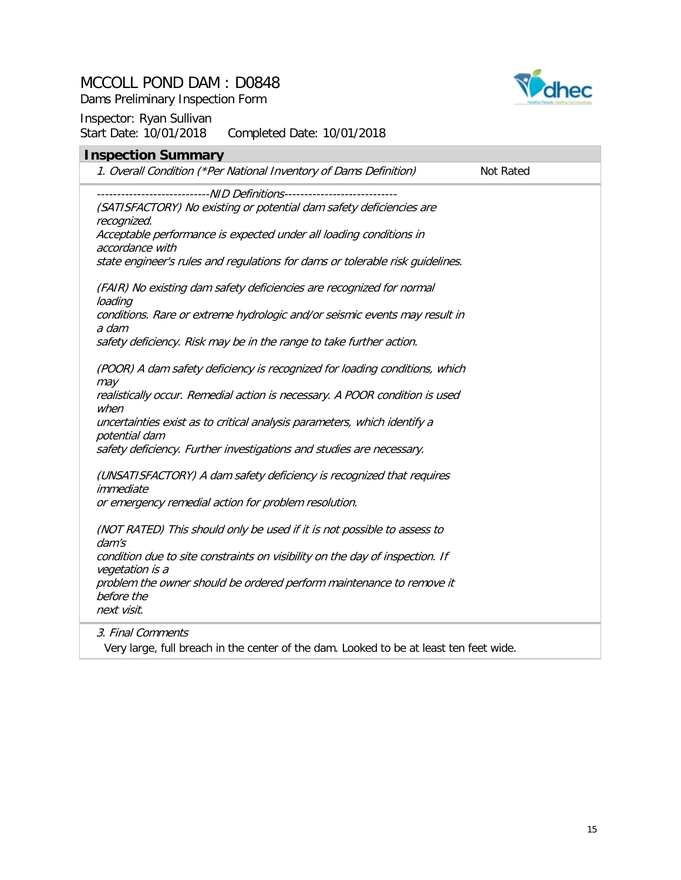

Dams Preliminary Inspection Form

#### Inspector: Ryan Sullivan<br>Start Date: 10/01/2018 Completed Date: 10/01/2018

| <b>Inspection Summary</b><br>1. Overall Condition (*Per National Inventory of Dams Definition)    | Not Rated |
|---------------------------------------------------------------------------------------------------|-----------|
|                                                                                                   |           |
|                                                                                                   |           |
| (SATISFACTORY) No existing or potential dam safety deficiencies are<br>recognized.                |           |
| Acceptable performance is expected under all loading conditions in<br>accordance with             |           |
| state engineer's rules and regulations for dams or tolerable risk guidelines.                     |           |
| (FAIR) No existing dam safety deficiencies are recognized for normal<br>loading                   |           |
| conditions. Rare or extreme hydrologic and/or seismic events may result in<br>a dam               |           |
| safety deficiency. Risk may be in the range to take further action.                               |           |
| (POOR) A dam safety deficiency is recognized for loading conditions, which<br>may                 |           |
| realistically occur. Remedial action is necessary. A POOR condition is used<br>when               |           |
| uncertainties exist as to critical analysis parameters, which identify a<br>potential dam         |           |
| safety deficiency. Further investigations and studies are necessary.                              |           |
| (UNSATISFACTORY) A dam safety deficiency is recognized that requires<br>immediate                 |           |
| or emergency remedial action for problem resolution.                                              |           |
| (NOT RATED) This should only be used if it is not possible to assess to<br>$d$ <i>am's</i>        |           |
| condition due to site constraints on visibility on the day of inspection. If<br>vegetation is a   |           |
| problem the owner should be ordered perform maintenance to remove it<br>before the<br>next visit. |           |
| 3. Final Comments                                                                                 |           |

Very large, full breach in the center of the dam. Looked to be at least ten feet wide.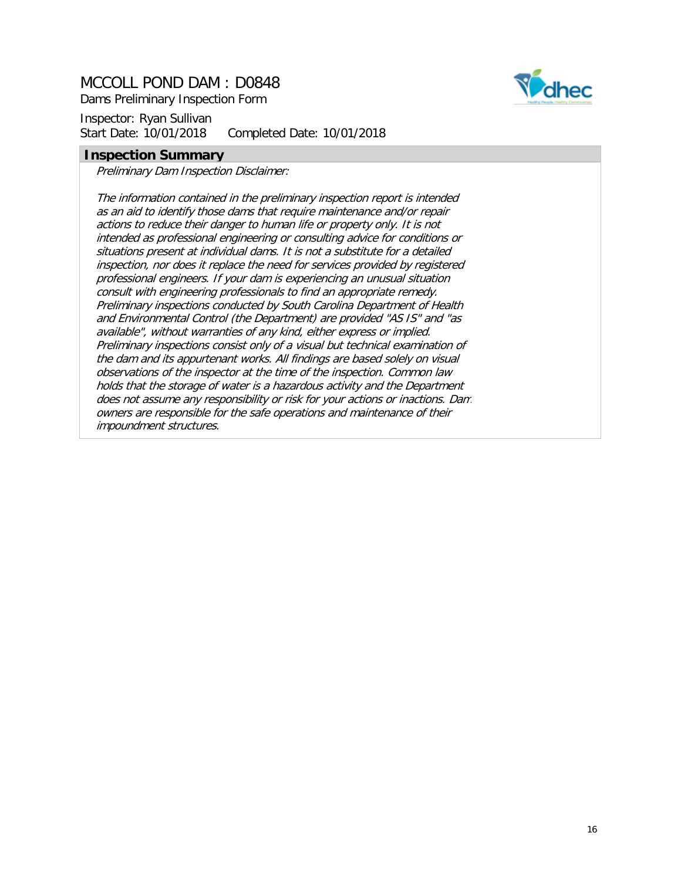Dams Preliminary Inspection Form

Inspector: Ryan Sullivan Start Date: 10/01/2018 Completed Date: 10/01/2018

#### **Inspection Summary**

Preliminary Dam Inspection Disclaimer:

The information contained in the preliminary inspection report is intended as an aid to identify those dams that require maintenance and/or repair actions to reduce their danger to human life or property only. It is not intended as professional engineering or consulting advice for conditions or situations present at individual dams. It is not a substitute for a detailed inspection, nor does it replace the need for services provided by registered professional engineers. If your dam is experiencing an unusual situation consult with engineering professionals to find an appropriate remedy. Preliminary inspections conducted by South Carolina Department of Health and Environmental Control (the Department) are provided "AS IS" and "as available", without warranties of any kind, either express or implied. Preliminary inspections consist only of a visual but technical examination of the dam and its appurtenant works. All findings are based solely on visual observations of the inspector at the time of the inspection. Common law holds that the storage of water is a hazardous activity and the Department does not assume any responsibility or risk for your actions or inactions. Dam owners are responsible for the safe operations and maintenance of their impoundment structures.